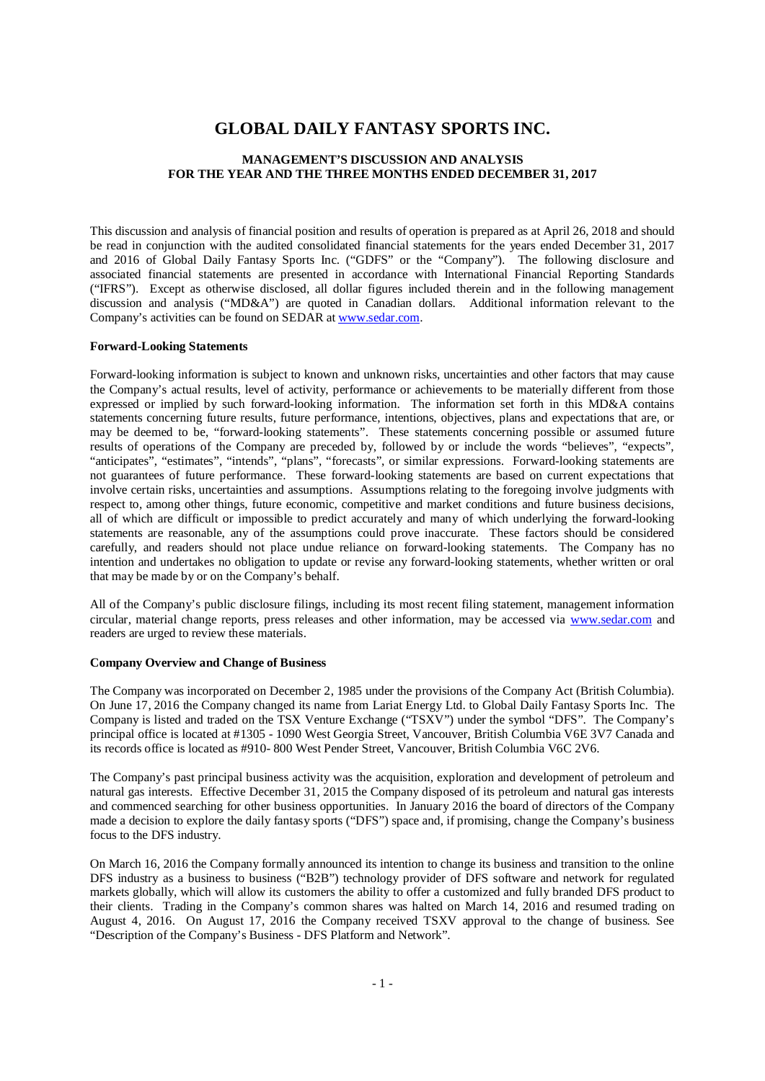# **GLOBAL DAILY FANTASY SPORTS INC.**

# **MANAGEMENT'S DISCUSSION AND ANALYSIS FOR THE YEAR AND THE THREE MONTHS ENDED DECEMBER 31, 2017**

This discussion and analysis of financial position and results of operation is prepared as at April 26, 2018 and should be read in conjunction with the audited consolidated financial statements for the years ended December 31, 2017 and 2016 of Global Daily Fantasy Sports Inc. ("GDFS" or the "Company"). The following disclosure and associated financial statements are presented in accordance with International Financial Reporting Standards ("IFRS"). Except as otherwise disclosed, all dollar figures included therein and in the following management discussion and analysis ("MD&A") are quoted in Canadian dollars. Additional information relevant to the Company's activities can be found on SEDAR at www.sedar.com.

#### **Forward-Looking Statements**

Forward-looking information is subject to known and unknown risks, uncertainties and other factors that may cause the Company's actual results, level of activity, performance or achievements to be materially different from those expressed or implied by such forward-looking information. The information set forth in this MD&A contains statements concerning future results, future performance, intentions, objectives, plans and expectations that are, or may be deemed to be, "forward-looking statements". These statements concerning possible or assumed future results of operations of the Company are preceded by, followed by or include the words "believes", "expects", "anticipates", "estimates", "intends", "plans", "forecasts", or similar expressions. Forward-looking statements are not guarantees of future performance. These forward-looking statements are based on current expectations that involve certain risks, uncertainties and assumptions. Assumptions relating to the foregoing involve judgments with respect to, among other things, future economic, competitive and market conditions and future business decisions, all of which are difficult or impossible to predict accurately and many of which underlying the forward-looking statements are reasonable, any of the assumptions could prove inaccurate. These factors should be considered carefully, and readers should not place undue reliance on forward-looking statements. The Company has no intention and undertakes no obligation to update or revise any forward-looking statements, whether written or oral that may be made by or on the Company's behalf.

All of the Company's public disclosure filings, including its most recent filing statement, management information circular, material change reports, press releases and other information, may be accessed via www.sedar.com and readers are urged to review these materials.

#### **Company Overview and Change of Business**

The Company was incorporated on December 2, 1985 under the provisions of the Company Act (British Columbia). On June 17, 2016 the Company changed its name from Lariat Energy Ltd. to Global Daily Fantasy Sports Inc. The Company is listed and traded on the TSX Venture Exchange ("TSXV") under the symbol "DFS". The Company's principal office is located at #1305 - 1090 West Georgia Street, Vancouver, British Columbia V6E 3V7 Canada and its records office is located as #910- 800 West Pender Street, Vancouver, British Columbia V6C 2V6.

The Company's past principal business activity was the acquisition, exploration and development of petroleum and natural gas interests. Effective December 31, 2015 the Company disposed of its petroleum and natural gas interests and commenced searching for other business opportunities. In January 2016 the board of directors of the Company made a decision to explore the daily fantasy sports ("DFS") space and, if promising, change the Company's business focus to the DFS industry.

On March 16, 2016 the Company formally announced its intention to change its business and transition to the online DFS industry as a business to business ("B2B") technology provider of DFS software and network for regulated markets globally, which will allow its customers the ability to offer a customized and fully branded DFS product to their clients. Trading in the Company's common shares was halted on March 14, 2016 and resumed trading on August 4, 2016. On August 17, 2016 the Company received TSXV approval to the change of business. See "Description of the Company's Business - DFS Platform and Network".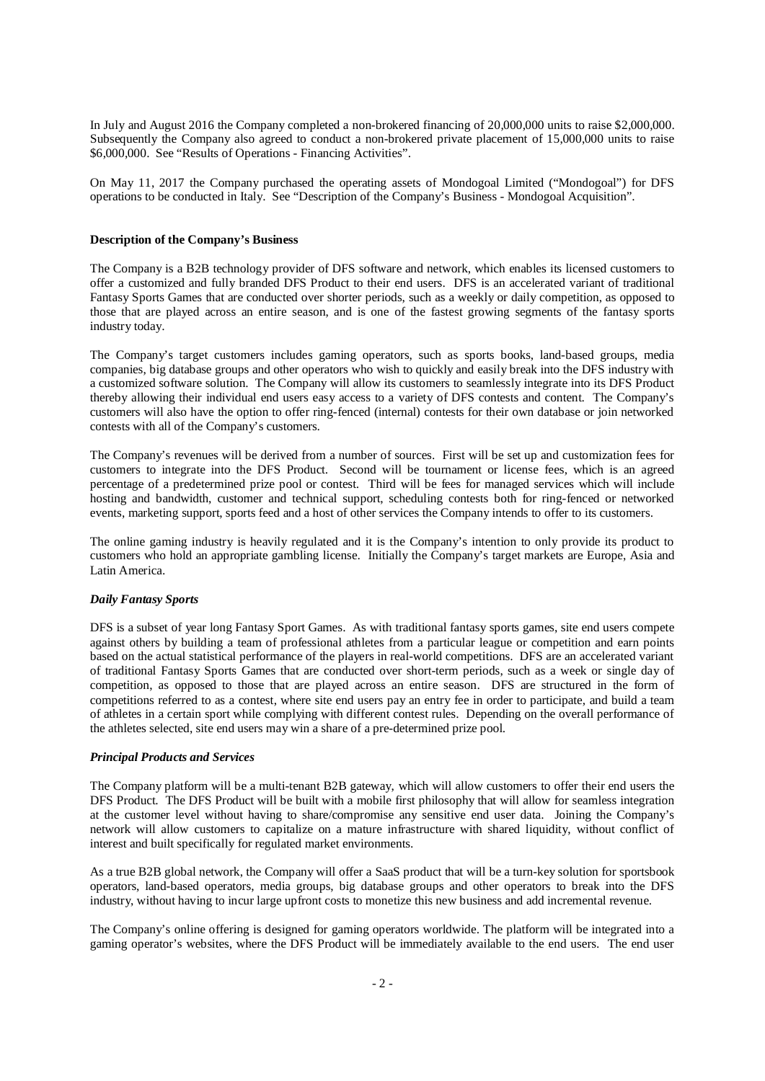In July and August 2016 the Company completed a non-brokered financing of 20,000,000 units to raise \$2,000,000. Subsequently the Company also agreed to conduct a non-brokered private placement of 15,000,000 units to raise \$6,000,000. See "Results of Operations - Financing Activities".

On May 11, 2017 the Company purchased the operating assets of Mondogoal Limited ("Mondogoal") for DFS operations to be conducted in Italy. See "Description of the Company's Business - Mondogoal Acquisition".

#### **Description of the Company's Business**

The Company is a B2B technology provider of DFS software and network, which enables its licensed customers to offer a customized and fully branded DFS Product to their end users. DFS is an accelerated variant of traditional Fantasy Sports Games that are conducted over shorter periods, such as a weekly or daily competition, as opposed to those that are played across an entire season, and is one of the fastest growing segments of the fantasy sports industry today.

The Company's target customers includes gaming operators, such as sports books, land-based groups, media companies, big database groups and other operators who wish to quickly and easily break into the DFS industry with a customized software solution. The Company will allow its customers to seamlessly integrate into its DFS Product thereby allowing their individual end users easy access to a variety of DFS contests and content. The Company's customers will also have the option to offer ring-fenced (internal) contests for their own database or join networked contests with all of the Company's customers.

The Company's revenues will be derived from a number of sources. First will be set up and customization fees for customers to integrate into the DFS Product. Second will be tournament or license fees, which is an agreed percentage of a predetermined prize pool or contest. Third will be fees for managed services which will include hosting and bandwidth, customer and technical support, scheduling contests both for ring-fenced or networked events, marketing support, sports feed and a host of other services the Company intends to offer to its customers.

The online gaming industry is heavily regulated and it is the Company's intention to only provide its product to customers who hold an appropriate gambling license. Initially the Company's target markets are Europe, Asia and Latin America.

#### *Daily Fantasy Sports*

DFS is a subset of year long Fantasy Sport Games. As with traditional fantasy sports games, site end users compete against others by building a team of professional athletes from a particular league or competition and earn points based on the actual statistical performance of the players in real-world competitions. DFS are an accelerated variant of traditional Fantasy Sports Games that are conducted over short-term periods, such as a week or single day of competition, as opposed to those that are played across an entire season. DFS are structured in the form of competitions referred to as a contest, where site end users pay an entry fee in order to participate, and build a team of athletes in a certain sport while complying with different contest rules. Depending on the overall performance of the athletes selected, site end users may win a share of a pre-determined prize pool.

#### *Principal Products and Services*

The Company platform will be a multi-tenant B2B gateway, which will allow customers to offer their end users the DFS Product. The DFS Product will be built with a mobile first philosophy that will allow for seamless integration at the customer level without having to share/compromise any sensitive end user data. Joining the Company's network will allow customers to capitalize on a mature infrastructure with shared liquidity, without conflict of interest and built specifically for regulated market environments.

As a true B2B global network, the Company will offer a SaaS product that will be a turn-key solution for sportsbook operators, land-based operators, media groups, big database groups and other operators to break into the DFS industry, without having to incur large upfront costs to monetize this new business and add incremental revenue.

The Company's online offering is designed for gaming operators worldwide. The platform will be integrated into a gaming operator's websites, where the DFS Product will be immediately available to the end users. The end user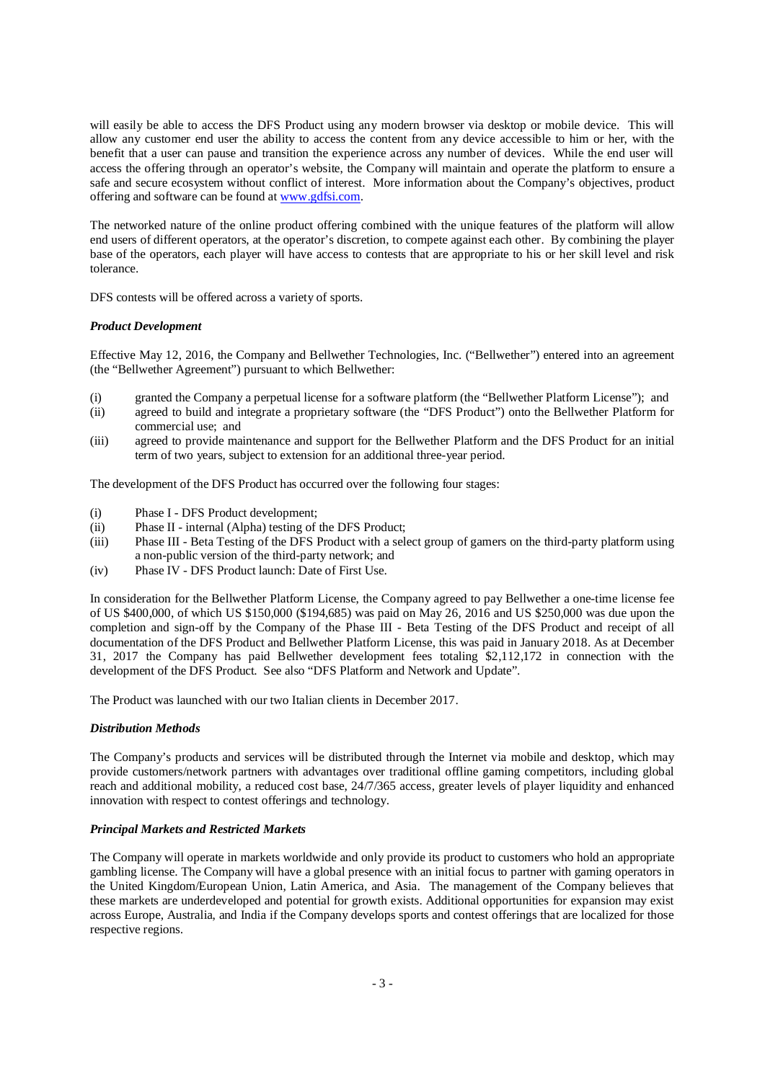will easily be able to access the DFS Product using any modern browser via desktop or mobile device. This will allow any customer end user the ability to access the content from any device accessible to him or her, with the benefit that a user can pause and transition the experience across any number of devices. While the end user will access the offering through an operator's website, the Company will maintain and operate the platform to ensure a safe and secure ecosystem without conflict of interest. More information about the Company's objectives, product offering and software can be found at www.gdfsi.com.

The networked nature of the online product offering combined with the unique features of the platform will allow end users of different operators, at the operator's discretion, to compete against each other. By combining the player base of the operators, each player will have access to contests that are appropriate to his or her skill level and risk tolerance.

DFS contests will be offered across a variety of sports.

# *Product Development*

Effective May 12, 2016, the Company and Bellwether Technologies, Inc. ("Bellwether") entered into an agreement (the "Bellwether Agreement") pursuant to which Bellwether:

- (i) granted the Company a perpetual license for a software platform (the "Bellwether Platform License"); and
- (ii) agreed to build and integrate a proprietary software (the "DFS Product") onto the Bellwether Platform for commercial use; and
- (iii) agreed to provide maintenance and support for the Bellwether Platform and the DFS Product for an initial term of two years, subject to extension for an additional three-year period.

The development of the DFS Product has occurred over the following four stages:

- (i) Phase I DFS Product development;
- (ii) Phase II internal (Alpha) testing of the DFS Product;
- (iii) Phase III Beta Testing of the DFS Product with a select group of gamers on the third-party platform using a non-public version of the third-party network; and
- (iv) Phase IV DFS Product launch: Date of First Use.

In consideration for the Bellwether Platform License, the Company agreed to pay Bellwether a one-time license fee of US \$400,000, of which US \$150,000 (\$194,685) was paid on May 26, 2016 and US \$250,000 was due upon the completion and sign-off by the Company of the Phase III - Beta Testing of the DFS Product and receipt of all documentation of the DFS Product and Bellwether Platform License, this was paid in January 2018. As at December 31, 2017 the Company has paid Bellwether development fees totaling \$2,112,172 in connection with the development of the DFS Product. See also "DFS Platform and Network and Update".

The Product was launched with our two Italian clients in December 2017.

# *Distribution Methods*

The Company's products and services will be distributed through the Internet via mobile and desktop, which may provide customers/network partners with advantages over traditional offline gaming competitors, including global reach and additional mobility, a reduced cost base, 24/7/365 access, greater levels of player liquidity and enhanced innovation with respect to contest offerings and technology.

# *Principal Markets and Restricted Markets*

The Company will operate in markets worldwide and only provide its product to customers who hold an appropriate gambling license. The Company will have a global presence with an initial focus to partner with gaming operators in the United Kingdom/European Union, Latin America, and Asia. The management of the Company believes that these markets are underdeveloped and potential for growth exists. Additional opportunities for expansion may exist across Europe, Australia, and India if the Company develops sports and contest offerings that are localized for those respective regions.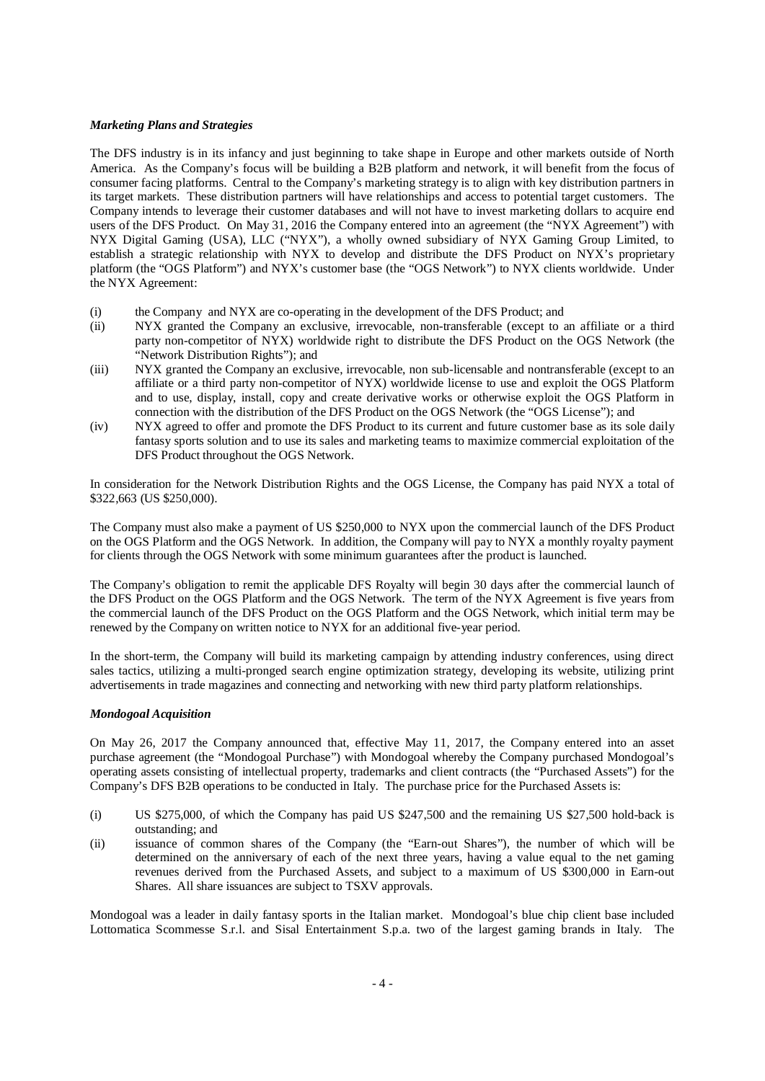### *Marketing Plans and Strategies*

The DFS industry is in its infancy and just beginning to take shape in Europe and other markets outside of North America. As the Company's focus will be building a B2B platform and network, it will benefit from the focus of consumer facing platforms. Central to the Company's marketing strategy is to align with key distribution partners in its target markets. These distribution partners will have relationships and access to potential target customers. The Company intends to leverage their customer databases and will not have to invest marketing dollars to acquire end users of the DFS Product. On May 31, 2016 the Company entered into an agreement (the "NYX Agreement") with NYX Digital Gaming (USA), LLC ("NYX"), a wholly owned subsidiary of NYX Gaming Group Limited, to establish a strategic relationship with NYX to develop and distribute the DFS Product on NYX's proprietary platform (the "OGS Platform") and NYX's customer base (the "OGS Network") to NYX clients worldwide. Under the NYX Agreement:

- (i) the Company and NYX are co-operating in the development of the DFS Product; and
- (ii) NYX granted the Company an exclusive, irrevocable, non-transferable (except to an affiliate or a third party non-competitor of NYX) worldwide right to distribute the DFS Product on the OGS Network (the "Network Distribution Rights"); and
- (iii) NYX granted the Company an exclusive, irrevocable, non sub-licensable and nontransferable (except to an affiliate or a third party non-competitor of NYX) worldwide license to use and exploit the OGS Platform and to use, display, install, copy and create derivative works or otherwise exploit the OGS Platform in connection with the distribution of the DFS Product on the OGS Network (the "OGS License"); and
- (iv) NYX agreed to offer and promote the DFS Product to its current and future customer base as its sole daily fantasy sports solution and to use its sales and marketing teams to maximize commercial exploitation of the DFS Product throughout the OGS Network.

In consideration for the Network Distribution Rights and the OGS License, the Company has paid NYX a total of \$322,663 (US \$250,000).

The Company must also make a payment of US \$250,000 to NYX upon the commercial launch of the DFS Product on the OGS Platform and the OGS Network. In addition, the Company will pay to NYX a monthly royalty payment for clients through the OGS Network with some minimum guarantees after the product is launched.

The Company's obligation to remit the applicable DFS Royalty will begin 30 days after the commercial launch of the DFS Product on the OGS Platform and the OGS Network. The term of the NYX Agreement is five years from the commercial launch of the DFS Product on the OGS Platform and the OGS Network, which initial term may be renewed by the Company on written notice to NYX for an additional five-year period.

In the short-term, the Company will build its marketing campaign by attending industry conferences, using direct sales tactics, utilizing a multi-pronged search engine optimization strategy, developing its website, utilizing print advertisements in trade magazines and connecting and networking with new third party platform relationships.

# *Mondogoal Acquisition*

On May 26, 2017 the Company announced that, effective May 11, 2017, the Company entered into an asset purchase agreement (the "Mondogoal Purchase") with Mondogoal whereby the Company purchased Mondogoal's operating assets consisting of intellectual property, trademarks and client contracts (the "Purchased Assets") for the Company's DFS B2B operations to be conducted in Italy. The purchase price for the Purchased Assets is:

- (i) US \$275,000, of which the Company has paid US \$247,500 and the remaining US \$27,500 hold-back is outstanding; and
- (ii) issuance of common shares of the Company (the "Earn-out Shares"), the number of which will be determined on the anniversary of each of the next three years, having a value equal to the net gaming revenues derived from the Purchased Assets, and subject to a maximum of US \$300,000 in Earn-out Shares. All share issuances are subject to TSXV approvals.

Mondogoal was a leader in daily fantasy sports in the Italian market. Mondogoal's blue chip client base included Lottomatica Scommesse S.r.l. and Sisal Entertainment S.p.a. two of the largest gaming brands in Italy. The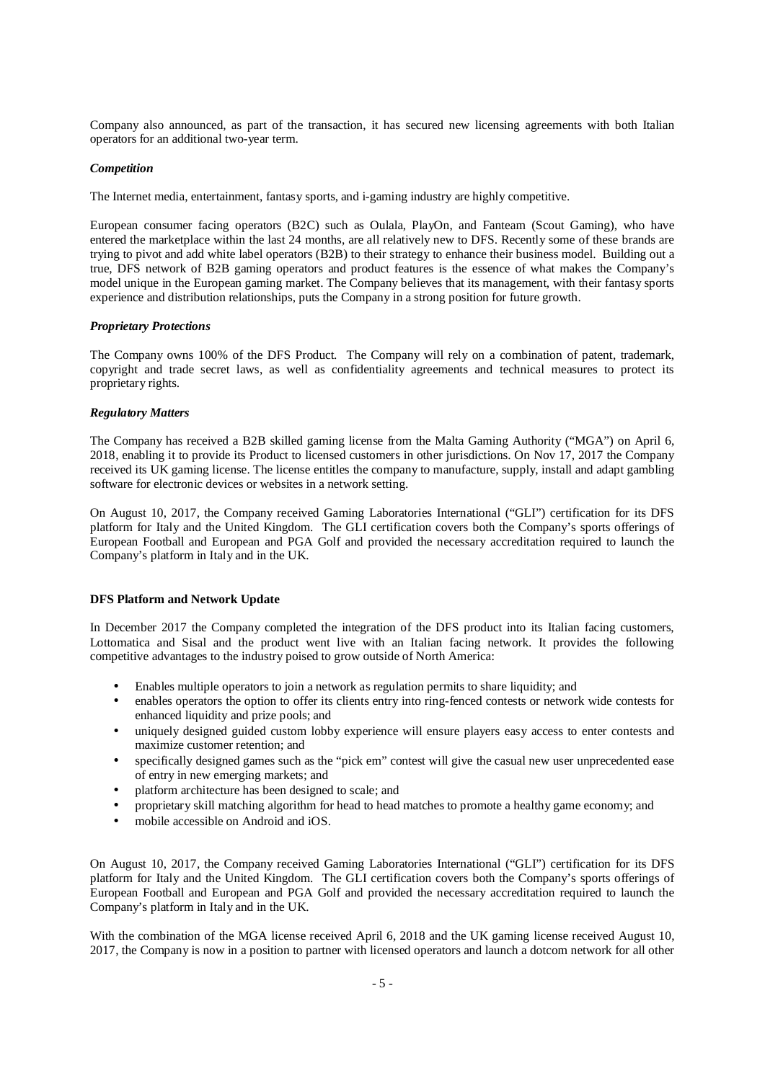Company also announced, as part of the transaction, it has secured new licensing agreements with both Italian operators for an additional two-year term.

### *Competition*

The Internet media, entertainment, fantasy sports, and i-gaming industry are highly competitive.

European consumer facing operators (B2C) such as Oulala, PlayOn, and Fanteam (Scout Gaming), who have entered the marketplace within the last 24 months, are all relatively new to DFS. Recently some of these brands are trying to pivot and add white label operators (B2B) to their strategy to enhance their business model. Building out a true, DFS network of B2B gaming operators and product features is the essence of what makes the Company's model unique in the European gaming market. The Company believes that its management, with their fantasy sports experience and distribution relationships, puts the Company in a strong position for future growth.

#### *Proprietary Protections*

The Company owns 100% of the DFS Product. The Company will rely on a combination of patent, trademark, copyright and trade secret laws, as well as confidentiality agreements and technical measures to protect its proprietary rights.

### *Regulatory Matters*

The Company has received a B2B skilled gaming license from the Malta Gaming Authority ("MGA") on April 6, 2018, enabling it to provide its Product to licensed customers in other jurisdictions. On Nov 17, 2017 the Company received its UK gaming license. The license entitles the company to manufacture, supply, install and adapt gambling software for electronic devices or websites in a network setting.

On August 10, 2017, the Company received Gaming Laboratories International ("GLI") certification for its DFS platform for Italy and the United Kingdom. The GLI certification covers both the Company's sports offerings of European Football and European and PGA Golf and provided the necessary accreditation required to launch the Company's platform in Italy and in the UK.

#### **DFS Platform and Network Update**

In December 2017 the Company completed the integration of the DFS product into its Italian facing customers, Lottomatica and Sisal and the product went live with an Italian facing network. It provides the following competitive advantages to the industry poised to grow outside of North America:

- Enables multiple operators to join a network as regulation permits to share liquidity; and
- enables operators the option to offer its clients entry into ring-fenced contests or network wide contests for enhanced liquidity and prize pools; and
- uniquely designed guided custom lobby experience will ensure players easy access to enter contests and maximize customer retention; and
- specifically designed games such as the "pick em" contest will give the casual new user unprecedented ease of entry in new emerging markets; and
- platform architecture has been designed to scale; and
- proprietary skill matching algorithm for head to head matches to promote a healthy game economy; and
- mobile accessible on Android and iOS.

On August 10, 2017, the Company received Gaming Laboratories International ("GLI") certification for its DFS platform for Italy and the United Kingdom. The GLI certification covers both the Company's sports offerings of European Football and European and PGA Golf and provided the necessary accreditation required to launch the Company's platform in Italy and in the UK.

With the combination of the MGA license received April 6, 2018 and the UK gaming license received August 10, 2017, the Company is now in a position to partner with licensed operators and launch a dotcom network for all other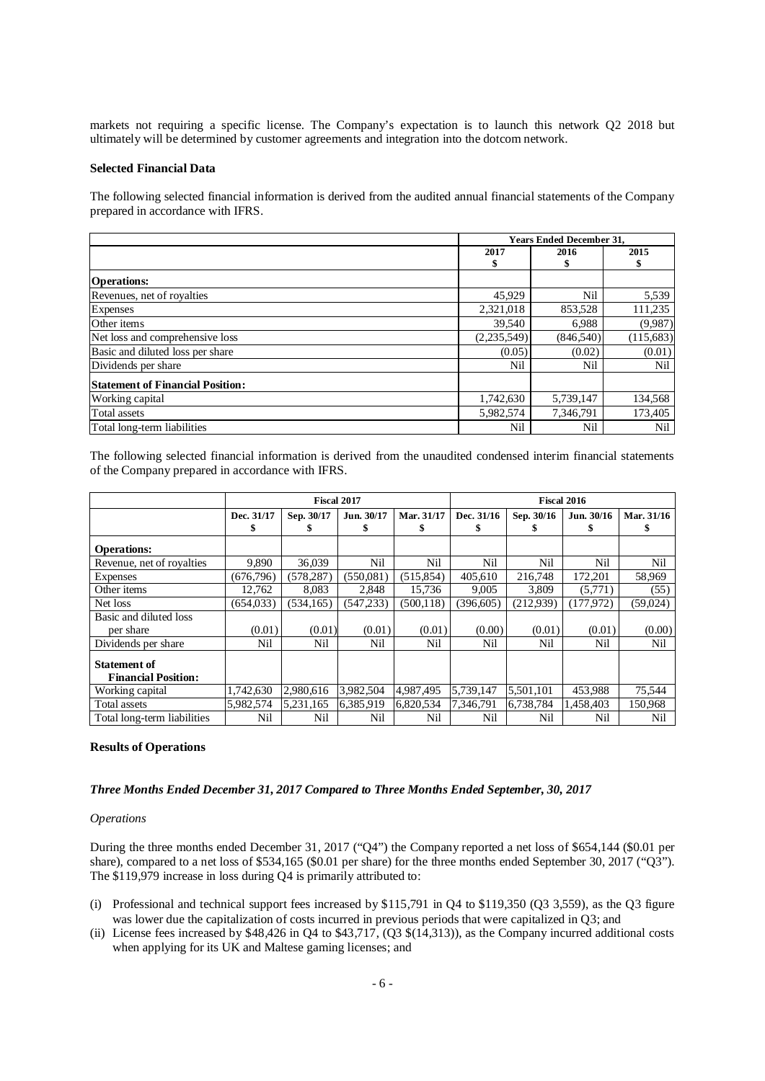markets not requiring a specific license. The Company's expectation is to launch this network Q2 2018 but ultimately will be determined by customer agreements and integration into the dotcom network.

#### **Selected Financial Data**

The following selected financial information is derived from the audited annual financial statements of the Company prepared in accordance with IFRS.

|                                         | <b>Years Ended December 31,</b> |           |            |  |
|-----------------------------------------|---------------------------------|-----------|------------|--|
|                                         | 2017                            | 2016      | 2015       |  |
|                                         | \$                              |           |            |  |
| <b>Operations:</b>                      |                                 |           |            |  |
| Revenues, net of royalties              | 45,929                          | Nil       | 5,539      |  |
| Expenses                                | 2,321,018                       | 853,528   | 111,235    |  |
| Other items                             | 39,540                          | 6,988     | (9,987)    |  |
| Net loss and comprehensive loss         | (2,235,549)                     | (846.540) | (115, 683) |  |
| Basic and diluted loss per share        | (0.05)                          | (0.02)    | (0.01)     |  |
| Dividends per share                     | Nil                             | Nil       | Nil        |  |
| <b>Statement of Financial Position:</b> |                                 |           |            |  |
| Working capital                         | 1,742,630                       | 5,739,147 | 134,568    |  |
| Total assets                            | 5,982,574                       | 7,346,791 | 173,405    |  |
| Total long-term liabilities             | Nil                             | Nil       | Nil        |  |

The following selected financial information is derived from the unaudited condensed interim financial statements of the Company prepared in accordance with IFRS.

|                                                   | <b>Fiscal 2017</b> |                   |                 | <b>Fiscal 2016</b> |                 |            |                 |            |
|---------------------------------------------------|--------------------|-------------------|-----------------|--------------------|-----------------|------------|-----------------|------------|
|                                                   | Dec. 31/17         | Sep. 30/17<br>эħ. | Jun. 30/17<br>ъ | Mar. 31/17<br>S    | Dec. 31/16<br>ъ | Sep. 30/16 | Jun. 30/16<br>ж | Mar. 31/16 |
| <b>Operations:</b>                                |                    |                   |                 |                    |                 |            |                 |            |
| Revenue, net of royalties                         | 9,890              | 36,039            | Nil             | Nil                | Nil             | Nil        | Nil             | Nil        |
| <b>Expenses</b>                                   | (676, 796)         | (578, 287)        | (550,081)       | (515, 854)         | 405,610         | 216,748    | 172,201         | 58,969     |
| Other items                                       | 12,762             | 8.083             | 2,848           | 15,736             | 9,005           | 3,809      | (5,771)         | (55)       |
| Net loss                                          | (654.033)          | (534.165)         | (547.233)       | (500.118)          | (396.605)       | (212.939)  | (177.972)       | (59,024)   |
| Basic and diluted loss                            |                    |                   |                 |                    |                 |            |                 |            |
| per share                                         | (0.01)             | (0.01)            | (0.01)          | (0.01)             | (0.00)          | (0.01)     | (0.01)          | (0.00)     |
| Dividends per share                               | Nil                | Nil               | Nil             | Nil                | Nil             | Nil        | Nil             | Nil        |
| <b>Statement of</b><br><b>Financial Position:</b> |                    |                   |                 |                    |                 |            |                 |            |
| Working capital                                   | 1,742,630          | 2,980,616         | 3,982,504       | 4,987,495          | 5,739,147       | 5,501,101  | 453,988         | 75,544     |
| Total assets                                      | 5,982,574          | 5.231.165         | 6,385,919       | 6,820,534          | 7,346,791       | 6.738.784  | 1,458,403       | 150,968    |
| Total long-term liabilities                       | Nil                | Nil               | Nil             | Nil                | Nil             | Nil        | Nil             | Nil        |

#### **Results of Operations**

### *Three Months Ended December 31, 2017 Compared to Three Months Ended September, 30, 2017*

#### *Operations*

During the three months ended December 31, 2017 ("Q4") the Company reported a net loss of \$654,144 (\$0.01 per share), compared to a net loss of \$534,165 (\$0.01 per share) for the three months ended September 30, 2017 ("Q3"). The \$119,979 increase in loss during Q4 is primarily attributed to:

- (i) Professional and technical support fees increased by  $$115,791$  in Q4 to  $$119,350$  (Q3 3,559), as the Q3 figure was lower due the capitalization of costs incurred in previous periods that were capitalized in Q3; and
- (ii) License fees increased by  $$48,426$  in Q4 to  $$43,717$ , (Q3  $$(14,313)$ ), as the Company incurred additional costs when applying for its UK and Maltese gaming licenses; and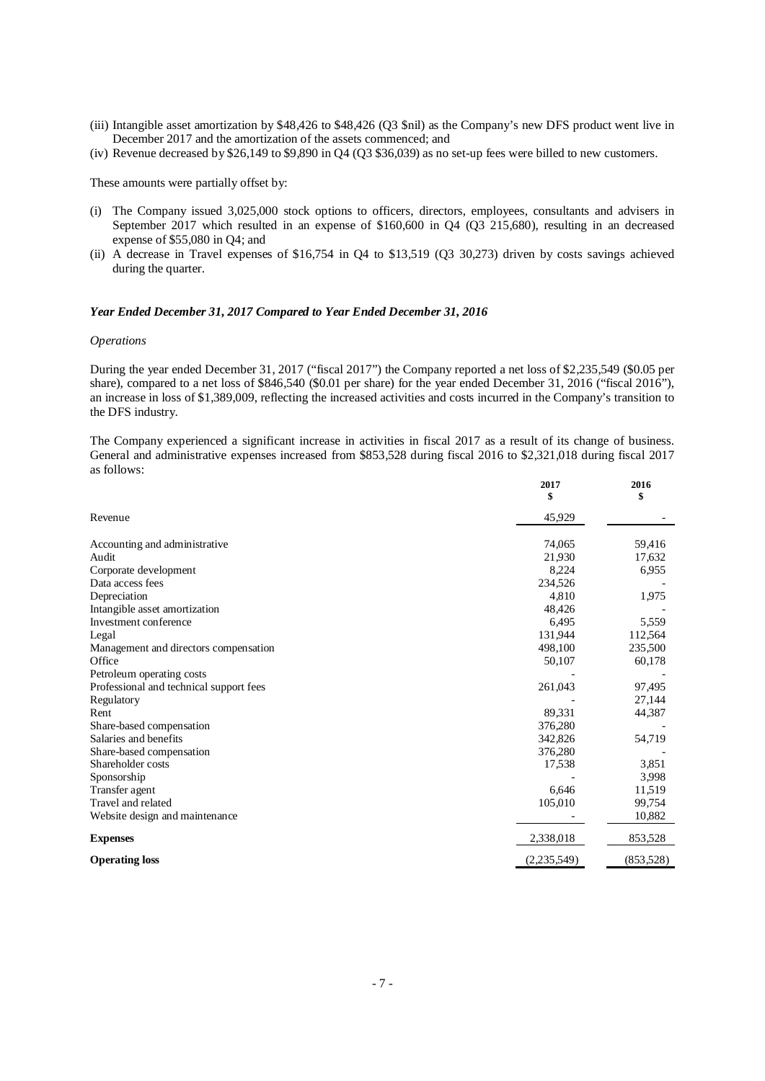- (iii) Intangible asset amortization by \$48,426 to \$48,426 (Q3 \$nil) as the Company's new DFS product went live in December 2017 and the amortization of the assets commenced; and
- (iv) Revenue decreased by \$26,149 to \$9,890 in Q4 (Q3 \$36,039) as no set-up fees were billed to new customers.

These amounts were partially offset by:

- (i) The Company issued 3,025,000 stock options to officers, directors, employees, consultants and advisers in September 2017 which resulted in an expense of \$160,600 in Q4 (Q3 215,680), resulting in an decreased expense of \$55,080 in Q4; and
- (ii) A decrease in Travel expenses of \$16,754 in Q4 to \$13,519 (Q3 30,273) driven by costs savings achieved during the quarter.

#### *Year Ended December 31, 2017 Compared to Year Ended December 31, 2016*

#### *Operations*

During the year ended December 31, 2017 ("fiscal 2017") the Company reported a net loss of \$2,235,549 (\$0.05 per share), compared to a net loss of \$846,540 (\$0.01 per share) for the year ended December 31, 2016 ("fiscal 2016"), an increase in loss of \$1,389,009, reflecting the increased activities and costs incurred in the Company's transition to the DFS industry.

The Company experienced a significant increase in activities in fiscal 2017 as a result of its change of business. General and administrative expenses increased from \$853,528 during fiscal 2016 to \$2,321,018 during fiscal 2017 as follows:

|                                         | 2017<br>\$  | 2016<br>\$ |
|-----------------------------------------|-------------|------------|
| Revenue                                 | 45,929      |            |
| Accounting and administrative           | 74,065      | 59,416     |
| Audit                                   | 21,930      | 17,632     |
| Corporate development                   | 8,224       | 6,955      |
| Data access fees                        | 234.526     |            |
| Depreciation                            | 4,810       | 1,975      |
| Intangible asset amortization           | 48,426      |            |
| Investment conference                   | 6,495       | 5,559      |
| Legal                                   | 131,944     | 112,564    |
| Management and directors compensation   | 498,100     | 235,500    |
| Office                                  | 50,107      | 60,178     |
| Petroleum operating costs               |             |            |
| Professional and technical support fees | 261,043     | 97,495     |
| Regulatory                              |             | 27,144     |
| Rent                                    | 89,331      | 44,387     |
| Share-based compensation                | 376,280     |            |
| Salaries and benefits                   | 342,826     | 54,719     |
| Share-based compensation                | 376,280     |            |
| Shareholder costs                       | 17,538      | 3,851      |
| Sponsorship                             |             | 3.998      |
| Transfer agent                          | 6.646       | 11,519     |
| Travel and related                      | 105,010     | 99,754     |
| Website design and maintenance          |             | 10,882     |
| <b>Expenses</b>                         | 2,338,018   | 853,528    |
| <b>Operating loss</b>                   | (2,235,549) | (853,528)  |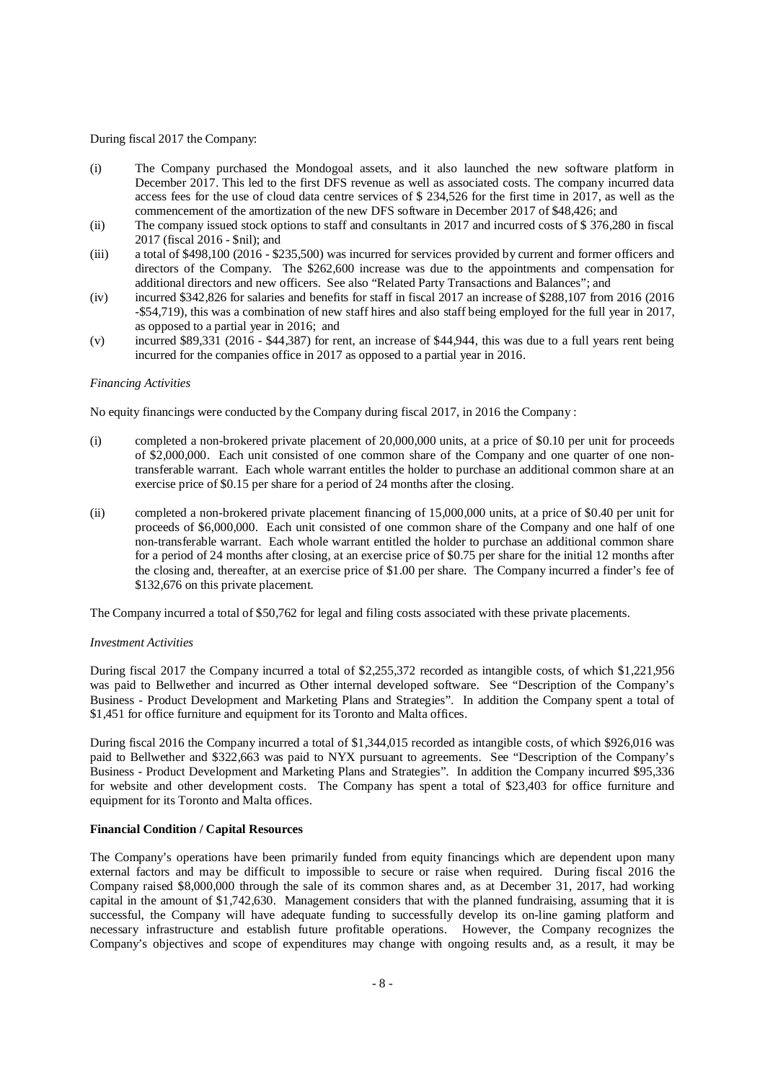#### During fiscal 2017 the Company:

- (i) The Company purchased the Mondogoal assets, and it also launched the new software platform in December 2017. This led to the first DFS revenue as well as associated costs. The company incurred data access fees for the use of cloud data centre services of \$ 234,526 for the first time in 2017, as well as the commencement of the amortization of the new DFS software in December 2017 of \$48,426; and
- (ii) The company issued stock options to staff and consultants in 2017 and incurred costs of  $$376,280$  in fiscal 2017 (fiscal 2016 - \$nil); and
- (iii) a total of \$498,100 (2016 \$235,500) was incurred for services provided by current and former officers and directors of the Company. The \$262,600 increase was due to the appointments and compensation for additional directors and new officers. See also "Related Party Transactions and Balances"; and
- (iv) incurred \$342,826 for salaries and benefits for staff in fiscal 2017 an increase of \$288,107 from 2016 (2016 -\$54,719), this was a combination of new staff hires and also staff being employed for the full year in 2017, as opposed to a partial year in 2016; and
- (v) incurred \$89,331 (2016 \$44,387) for rent, an increase of \$44,944, this was due to a full years rent being incurred for the companies office in 2017 as opposed to a partial year in 2016.

#### *Financing Activities*

No equity financings were conducted by the Company during fiscal 2017, in 2016 the Company :

- (i) completed a non-brokered private placement of 20,000,000 units, at a price of \$0.10 per unit for proceeds of \$2,000,000. Each unit consisted of one common share of the Company and one quarter of one nontransferable warrant. Each whole warrant entitles the holder to purchase an additional common share at an exercise price of \$0.15 per share for a period of 24 months after the closing.
- (ii) completed a non-brokered private placement financing of 15,000,000 units, at a price of \$0.40 per unit for proceeds of \$6,000,000. Each unit consisted of one common share of the Company and one half of one non-transferable warrant. Each whole warrant entitled the holder to purchase an additional common share for a period of 24 months after closing, at an exercise price of \$0.75 per share for the initial 12 months after the closing and, thereafter, at an exercise price of \$1.00 per share. The Company incurred a finder's fee of \$132,676 on this private placement.

The Company incurred a total of \$50,762 for legal and filing costs associated with these private placements.

#### *Investment Activities*

During fiscal 2017 the Company incurred a total of \$2,255,372 recorded as intangible costs, of which \$1,221,956 was paid to Bellwether and incurred as Other internal developed software. See "Description of the Company's Business - Product Development and Marketing Plans and Strategies". In addition the Company spent a total of \$1,451 for office furniture and equipment for its Toronto and Malta offices.

During fiscal 2016 the Company incurred a total of \$1,344,015 recorded as intangible costs, of which \$926,016 was paid to Bellwether and \$322,663 was paid to NYX pursuant to agreements. See "Description of the Company's Business - Product Development and Marketing Plans and Strategies". In addition the Company incurred \$95,336 for website and other development costs. The Company has spent a total of \$23,403 for office furniture and equipment for its Toronto and Malta offices.

### **Financial Condition / Capital Resources**

The Company's operations have been primarily funded from equity financings which are dependent upon many external factors and may be difficult to impossible to secure or raise when required. During fiscal 2016 the Company raised \$8,000,000 through the sale of its common shares and, as at December 31, 2017, had working capital in the amount of \$1,742,630. Management considers that with the planned fundraising, assuming that it is successful, the Company will have adequate funding to successfully develop its on-line gaming platform and necessary infrastructure and establish future profitable operations. However, the Company recognizes the Company's objectives and scope of expenditures may change with ongoing results and, as a result, it may be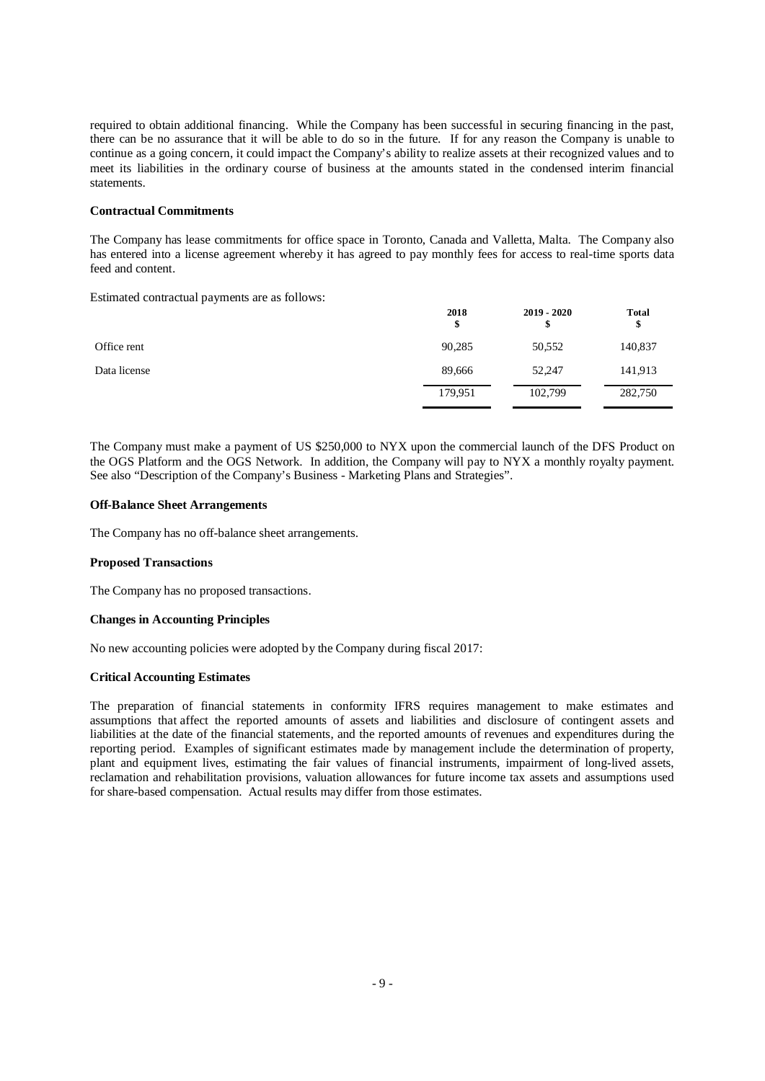required to obtain additional financing. While the Company has been successful in securing financing in the past, there can be no assurance that it will be able to do so in the future. If for any reason the Company is unable to continue as a going concern, it could impact the Company's ability to realize assets at their recognized values and to meet its liabilities in the ordinary course of business at the amounts stated in the condensed interim financial statements.

#### **Contractual Commitments**

The Company has lease commitments for office space in Toronto, Canada and Valletta, Malta. The Company also has entered into a license agreement whereby it has agreed to pay monthly fees for access to real-time sports data feed and content.

Estimated contractual payments are as follows:

|              | 2018<br>\$ | $2019 - 2020$<br>\$ | <b>Total</b><br>\$ |
|--------------|------------|---------------------|--------------------|
| Office rent  | 90,285     | 50,552              | 140,837            |
| Data license | 89,666     | 52,247              | 141,913            |
|              | 179,951    | 102,799             | 282,750            |

The Company must make a payment of US \$250,000 to NYX upon the commercial launch of the DFS Product on the OGS Platform and the OGS Network. In addition, the Company will pay to NYX a monthly royalty payment. See also "Description of the Company's Business - Marketing Plans and Strategies".

### **Off-Balance Sheet Arrangements**

The Company has no off-balance sheet arrangements.

#### **Proposed Transactions**

The Company has no proposed transactions.

# **Changes in Accounting Principles**

No new accounting policies were adopted by the Company during fiscal 2017:

#### **Critical Accounting Estimates**

The preparation of financial statements in conformity IFRS requires management to make estimates and assumptions that affect the reported amounts of assets and liabilities and disclosure of contingent assets and liabilities at the date of the financial statements, and the reported amounts of revenues and expenditures during the reporting period. Examples of significant estimates made by management include the determination of property, plant and equipment lives, estimating the fair values of financial instruments, impairment of long-lived assets, reclamation and rehabilitation provisions, valuation allowances for future income tax assets and assumptions used for share-based compensation. Actual results may differ from those estimates.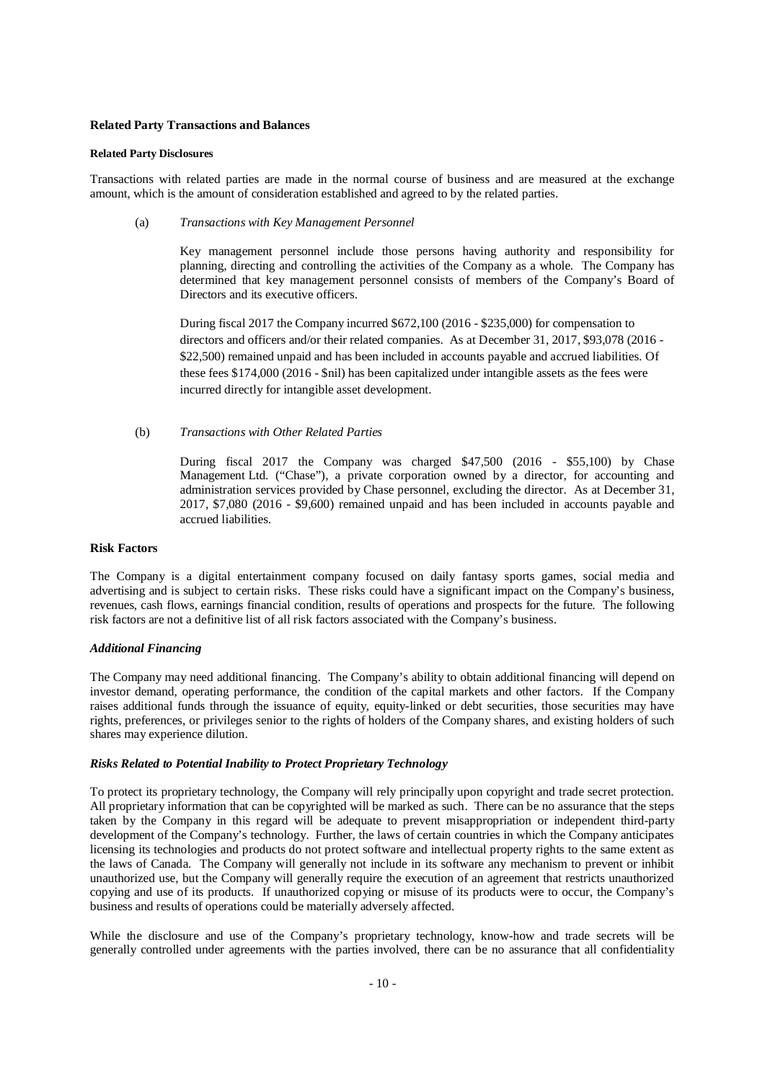### **Related Party Transactions and Balances**

#### **Related Party Disclosures**

Transactions with related parties are made in the normal course of business and are measured at the exchange amount, which is the amount of consideration established and agreed to by the related parties.

(a) *Transactions with Key Management Personnel*

Key management personnel include those persons having authority and responsibility for planning, directing and controlling the activities of the Company as a whole. The Company has determined that key management personnel consists of members of the Company's Board of Directors and its executive officers.

During fiscal 2017 the Company incurred \$672,100 (2016 - \$235,000) for compensation to directors and officers and/or their related companies. As at December 31, 2017, \$93,078 (2016 - \$22,500) remained unpaid and has been included in accounts payable and accrued liabilities. Of these fees \$174,000 (2016 - \$nil) has been capitalized under intangible assets as the fees were incurred directly for intangible asset development.

(b) *Transactions with Other Related Parties*

During fiscal 2017 the Company was charged \$47,500 (2016 - \$55,100) by Chase Management Ltd. ("Chase"), a private corporation owned by a director, for accounting and administration services provided by Chase personnel, excluding the director. As at December 31, 2017, \$7,080 (2016 - \$9,600) remained unpaid and has been included in accounts payable and accrued liabilities.

#### **Risk Factors**

The Company is a digital entertainment company focused on daily fantasy sports games, social media and advertising and is subject to certain risks. These risks could have a significant impact on the Company's business, revenues, cash flows, earnings financial condition, results of operations and prospects for the future. The following risk factors are not a definitive list of all risk factors associated with the Company's business.

#### *Additional Financing*

The Company may need additional financing. The Company's ability to obtain additional financing will depend on investor demand, operating performance, the condition of the capital markets and other factors. If the Company raises additional funds through the issuance of equity, equity-linked or debt securities, those securities may have rights, preferences, or privileges senior to the rights of holders of the Company shares, and existing holders of such shares may experience dilution.

#### *Risks Related to Potential Inability to Protect Proprietary Technology*

To protect its proprietary technology, the Company will rely principally upon copyright and trade secret protection. All proprietary information that can be copyrighted will be marked as such. There can be no assurance that the steps taken by the Company in this regard will be adequate to prevent misappropriation or independent third-party development of the Company's technology. Further, the laws of certain countries in which the Company anticipates licensing its technologies and products do not protect software and intellectual property rights to the same extent as the laws of Canada. The Company will generally not include in its software any mechanism to prevent or inhibit unauthorized use, but the Company will generally require the execution of an agreement that restricts unauthorized copying and use of its products. If unauthorized copying or misuse of its products were to occur, the Company's business and results of operations could be materially adversely affected.

While the disclosure and use of the Company's proprietary technology, know-how and trade secrets will be generally controlled under agreements with the parties involved, there can be no assurance that all confidentiality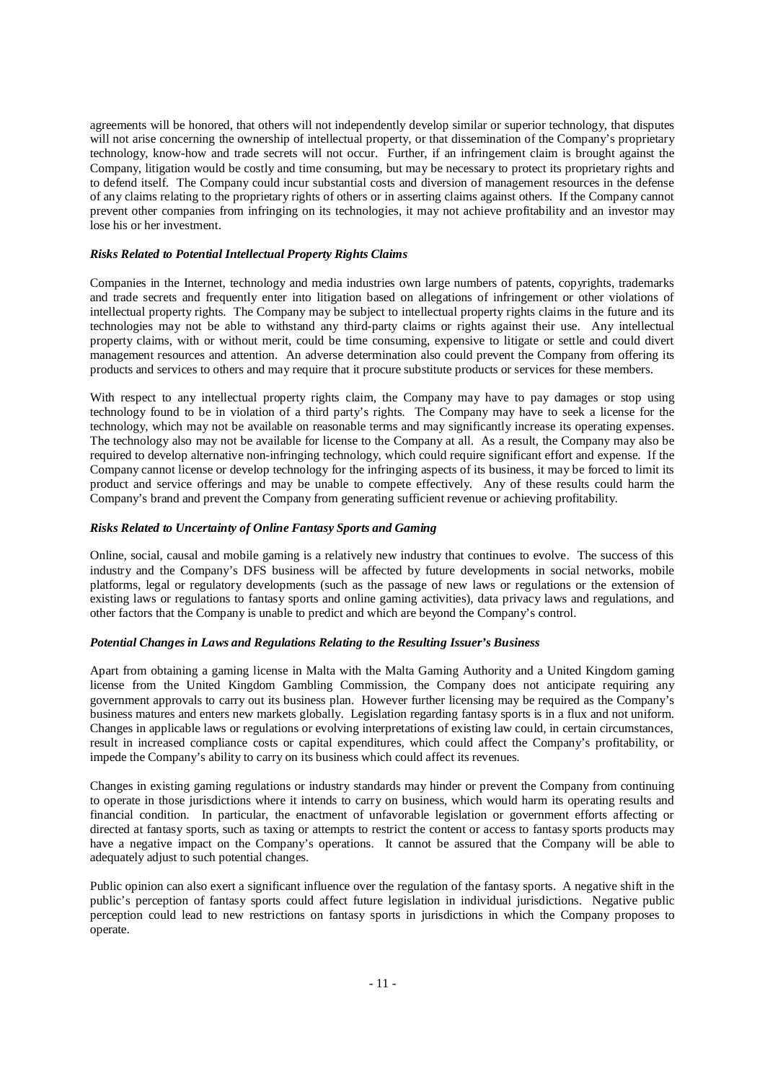agreements will be honored, that others will not independently develop similar or superior technology, that disputes will not arise concerning the ownership of intellectual property, or that dissemination of the Company's proprietary technology, know-how and trade secrets will not occur. Further, if an infringement claim is brought against the Company, litigation would be costly and time consuming, but may be necessary to protect its proprietary rights and to defend itself. The Company could incur substantial costs and diversion of management resources in the defense of any claims relating to the proprietary rights of others or in asserting claims against others. If the Company cannot prevent other companies from infringing on its technologies, it may not achieve profitability and an investor may lose his or her investment.

### *Risks Related to Potential Intellectual Property Rights Claims*

Companies in the Internet, technology and media industries own large numbers of patents, copyrights, trademarks and trade secrets and frequently enter into litigation based on allegations of infringement or other violations of intellectual property rights. The Company may be subject to intellectual property rights claims in the future and its technologies may not be able to withstand any third-party claims or rights against their use. Any intellectual property claims, with or without merit, could be time consuming, expensive to litigate or settle and could divert management resources and attention. An adverse determination also could prevent the Company from offering its products and services to others and may require that it procure substitute products or services for these members.

With respect to any intellectual property rights claim, the Company may have to pay damages or stop using technology found to be in violation of a third party's rights. The Company may have to seek a license for the technology, which may not be available on reasonable terms and may significantly increase its operating expenses. The technology also may not be available for license to the Company at all. As a result, the Company may also be required to develop alternative non-infringing technology, which could require significant effort and expense. If the Company cannot license or develop technology for the infringing aspects of its business, it may be forced to limit its product and service offerings and may be unable to compete effectively. Any of these results could harm the Company's brand and prevent the Company from generating sufficient revenue or achieving profitability.

#### *Risks Related to Uncertainty of Online Fantasy Sports and Gaming*

Online, social, causal and mobile gaming is a relatively new industry that continues to evolve. The success of this industry and the Company's DFS business will be affected by future developments in social networks, mobile platforms, legal or regulatory developments (such as the passage of new laws or regulations or the extension of existing laws or regulations to fantasy sports and online gaming activities), data privacy laws and regulations, and other factors that the Company is unable to predict and which are beyond the Company's control.

#### *Potential Changes in Laws and Regulations Relating to the Resulting Issuer's Business*

Apart from obtaining a gaming license in Malta with the Malta Gaming Authority and a United Kingdom gaming license from the United Kingdom Gambling Commission, the Company does not anticipate requiring any government approvals to carry out its business plan. However further licensing may be required as the Company's business matures and enters new markets globally. Legislation regarding fantasy sports is in a flux and not uniform. Changes in applicable laws or regulations or evolving interpretations of existing law could, in certain circumstances, result in increased compliance costs or capital expenditures, which could affect the Company's profitability, or impede the Company's ability to carry on its business which could affect its revenues.

Changes in existing gaming regulations or industry standards may hinder or prevent the Company from continuing to operate in those jurisdictions where it intends to carry on business, which would harm its operating results and financial condition. In particular, the enactment of unfavorable legislation or government efforts affecting or directed at fantasy sports, such as taxing or attempts to restrict the content or access to fantasy sports products may have a negative impact on the Company's operations. It cannot be assured that the Company will be able to adequately adjust to such potential changes.

Public opinion can also exert a significant influence over the regulation of the fantasy sports. A negative shift in the public's perception of fantasy sports could affect future legislation in individual jurisdictions. Negative public perception could lead to new restrictions on fantasy sports in jurisdictions in which the Company proposes to operate.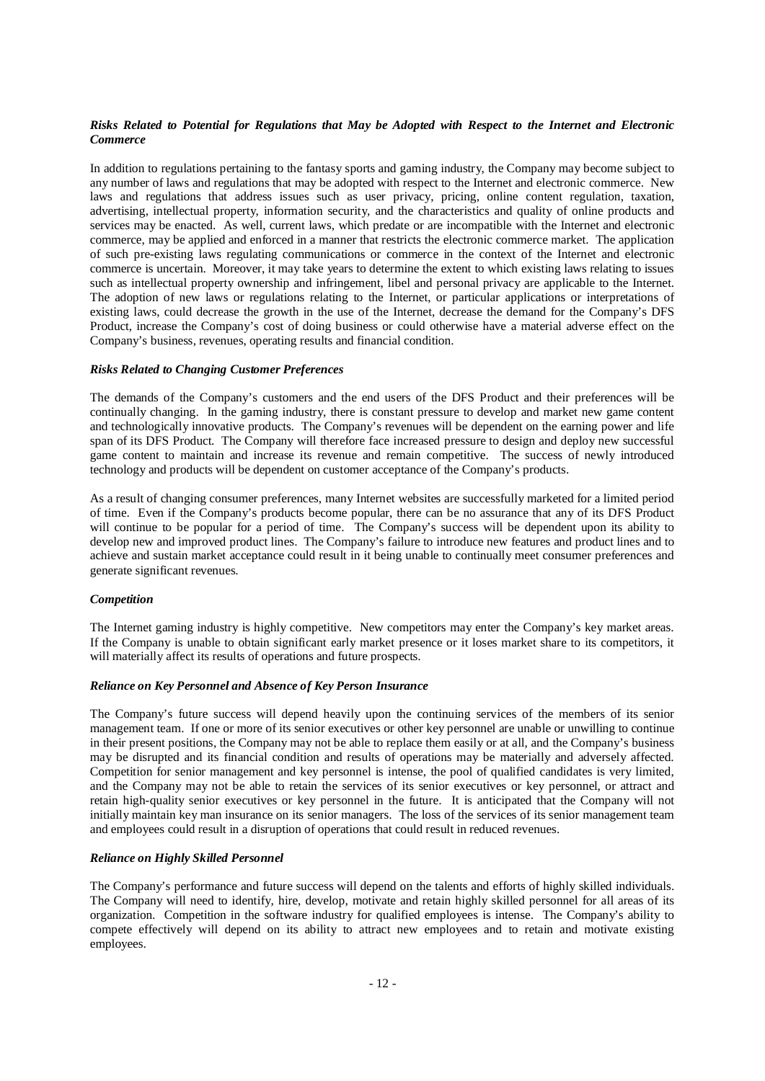# *Risks Related to Potential for Regulations that May be Adopted with Respect to the Internet and Electronic Commerce*

In addition to regulations pertaining to the fantasy sports and gaming industry, the Company may become subject to any number of laws and regulations that may be adopted with respect to the Internet and electronic commerce. New laws and regulations that address issues such as user privacy, pricing, online content regulation, taxation, advertising, intellectual property, information security, and the characteristics and quality of online products and services may be enacted. As well, current laws, which predate or are incompatible with the Internet and electronic commerce, may be applied and enforced in a manner that restricts the electronic commerce market. The application of such pre-existing laws regulating communications or commerce in the context of the Internet and electronic commerce is uncertain. Moreover, it may take years to determine the extent to which existing laws relating to issues such as intellectual property ownership and infringement, libel and personal privacy are applicable to the Internet. The adoption of new laws or regulations relating to the Internet, or particular applications or interpretations of existing laws, could decrease the growth in the use of the Internet, decrease the demand for the Company's DFS Product, increase the Company's cost of doing business or could otherwise have a material adverse effect on the Company's business, revenues, operating results and financial condition.

### *Risks Related to Changing Customer Preferences*

The demands of the Company's customers and the end users of the DFS Product and their preferences will be continually changing. In the gaming industry, there is constant pressure to develop and market new game content and technologically innovative products. The Company's revenues will be dependent on the earning power and life span of its DFS Product. The Company will therefore face increased pressure to design and deploy new successful game content to maintain and increase its revenue and remain competitive. The success of newly introduced technology and products will be dependent on customer acceptance of the Company's products.

As a result of changing consumer preferences, many Internet websites are successfully marketed for a limited period of time. Even if the Company's products become popular, there can be no assurance that any of its DFS Product will continue to be popular for a period of time. The Company's success will be dependent upon its ability to develop new and improved product lines. The Company's failure to introduce new features and product lines and to achieve and sustain market acceptance could result in it being unable to continually meet consumer preferences and generate significant revenues.

#### *Competition*

The Internet gaming industry is highly competitive. New competitors may enter the Company's key market areas. If the Company is unable to obtain significant early market presence or it loses market share to its competitors, it will materially affect its results of operations and future prospects.

#### *Reliance on Key Personnel and Absence of Key Person Insurance*

The Company's future success will depend heavily upon the continuing services of the members of its senior management team. If one or more of its senior executives or other key personnel are unable or unwilling to continue in their present positions, the Company may not be able to replace them easily or at all, and the Company's business may be disrupted and its financial condition and results of operations may be materially and adversely affected. Competition for senior management and key personnel is intense, the pool of qualified candidates is very limited, and the Company may not be able to retain the services of its senior executives or key personnel, or attract and retain high-quality senior executives or key personnel in the future. It is anticipated that the Company will not initially maintain key man insurance on its senior managers. The loss of the services of its senior management team and employees could result in a disruption of operations that could result in reduced revenues.

# *Reliance on Highly Skilled Personnel*

The Company's performance and future success will depend on the talents and efforts of highly skilled individuals. The Company will need to identify, hire, develop, motivate and retain highly skilled personnel for all areas of its organization. Competition in the software industry for qualified employees is intense. The Company's ability to compete effectively will depend on its ability to attract new employees and to retain and motivate existing employees.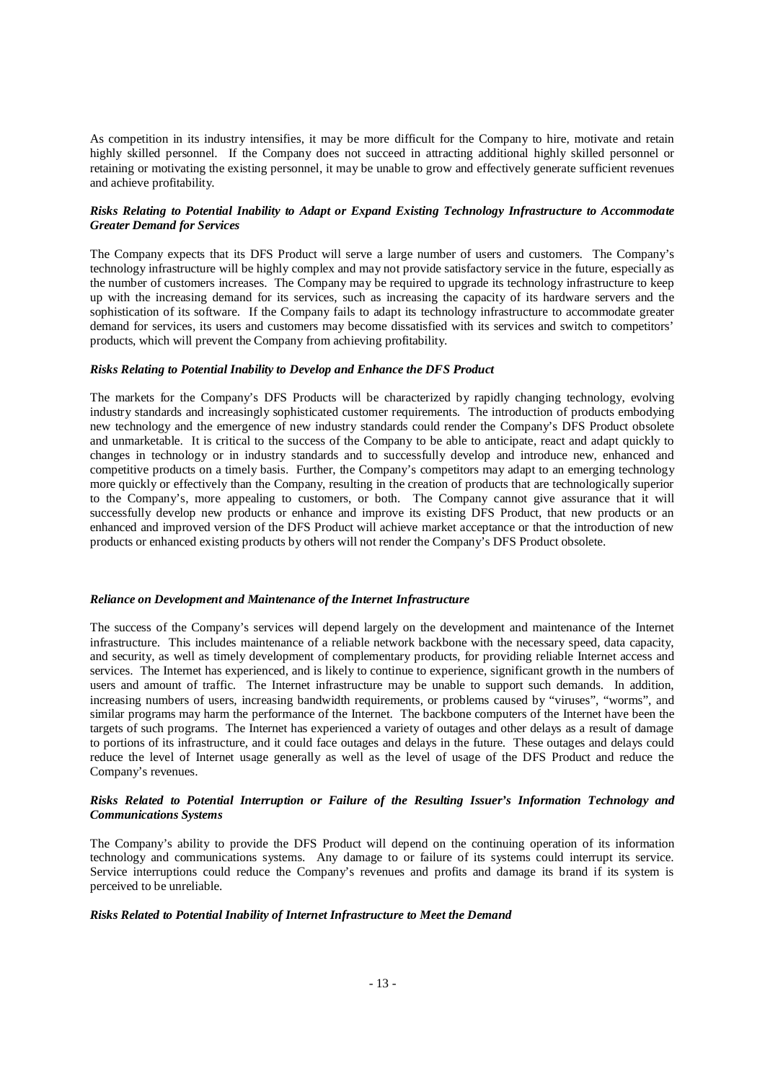As competition in its industry intensifies, it may be more difficult for the Company to hire, motivate and retain highly skilled personnel. If the Company does not succeed in attracting additional highly skilled personnel or retaining or motivating the existing personnel, it may be unable to grow and effectively generate sufficient revenues and achieve profitability.

### *Risks Relating to Potential Inability to Adapt or Expand Existing Technology Infrastructure to Accommodate Greater Demand for Services*

The Company expects that its DFS Product will serve a large number of users and customers. The Company's technology infrastructure will be highly complex and may not provide satisfactory service in the future, especially as the number of customers increases. The Company may be required to upgrade its technology infrastructure to keep up with the increasing demand for its services, such as increasing the capacity of its hardware servers and the sophistication of its software. If the Company fails to adapt its technology infrastructure to accommodate greater demand for services, its users and customers may become dissatisfied with its services and switch to competitors' products, which will prevent the Company from achieving profitability.

#### *Risks Relating to Potential Inability to Develop and Enhance the DFS Product*

The markets for the Company's DFS Products will be characterized by rapidly changing technology, evolving industry standards and increasingly sophisticated customer requirements. The introduction of products embodying new technology and the emergence of new industry standards could render the Company's DFS Product obsolete and unmarketable. It is critical to the success of the Company to be able to anticipate, react and adapt quickly to changes in technology or in industry standards and to successfully develop and introduce new, enhanced and competitive products on a timely basis. Further, the Company's competitors may adapt to an emerging technology more quickly or effectively than the Company, resulting in the creation of products that are technologically superior to the Company's, more appealing to customers, or both. The Company cannot give assurance that it will successfully develop new products or enhance and improve its existing DFS Product, that new products or an enhanced and improved version of the DFS Product will achieve market acceptance or that the introduction of new products or enhanced existing products by others will not render the Company's DFS Product obsolete.

### *Reliance on Development and Maintenance of the Internet Infrastructure*

The success of the Company's services will depend largely on the development and maintenance of the Internet infrastructure. This includes maintenance of a reliable network backbone with the necessary speed, data capacity, and security, as well as timely development of complementary products, for providing reliable Internet access and services. The Internet has experienced, and is likely to continue to experience, significant growth in the numbers of users and amount of traffic. The Internet infrastructure may be unable to support such demands. In addition, increasing numbers of users, increasing bandwidth requirements, or problems caused by "viruses", "worms", and similar programs may harm the performance of the Internet. The backbone computers of the Internet have been the targets of such programs. The Internet has experienced a variety of outages and other delays as a result of damage to portions of its infrastructure, and it could face outages and delays in the future. These outages and delays could reduce the level of Internet usage generally as well as the level of usage of the DFS Product and reduce the Company's revenues.

### *Risks Related to Potential Interruption or Failure of the Resulting Issuer's Information Technology and Communications Systems*

The Company's ability to provide the DFS Product will depend on the continuing operation of its information technology and communications systems. Any damage to or failure of its systems could interrupt its service. Service interruptions could reduce the Company's revenues and profits and damage its brand if its system is perceived to be unreliable.

#### *Risks Related to Potential Inability of Internet Infrastructure to Meet the Demand*